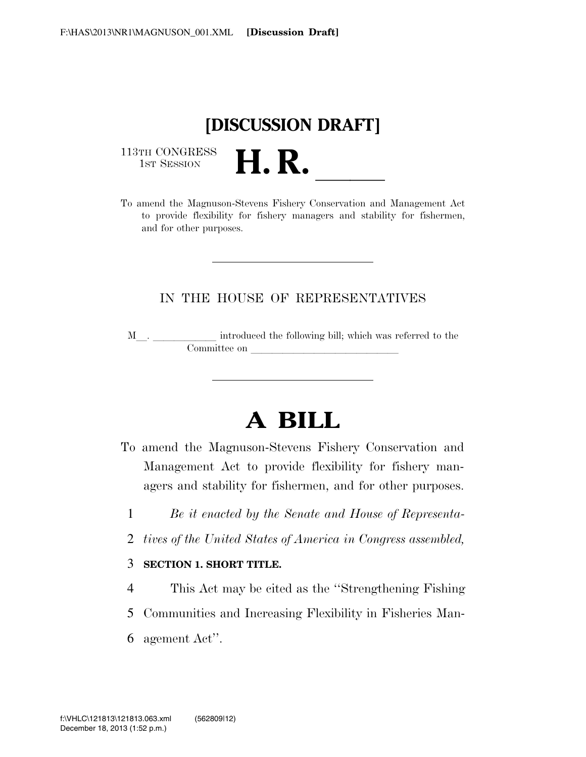

113TH CONGRESS<br>1st Session

113TH CONGRESS<br>1st SESSION **H. R.** <u>Indicated the Magnuson-Stevens Fishery Conservation and Management Act</u> to provide flexibility for fishery managers and stability for fishermen, and for other purposes.

### IN THE HOUSE OF REPRESENTATIVES

M\_\_. \_\_\_\_\_\_\_\_\_\_\_\_ introduced the following bill; which was referred to the  $\mathop{\mathrm{Commuttee}}$  on  $\qquad \qquad \qquad \overbrace{\phantom{ \mathcal{L}_{\mathcal{L}}\oplus\mathcal{L}_{\mathcal{L}}\oplus\mathcal{L}_{\mathcal{L}}\oplus\mathcal{L}_{\mathcal{L}}\oplus\mathcal{L}_{\mathcal{L}}\oplus\mathcal{L}_{\mathcal{L}}\oplus\mathcal{L}_{\mathcal{L}}\oplus\mathcal{L}_{\mathcal{L}}\oplus\mathcal{L}_{\mathcal{L}}\oplus\mathcal{L}_{\mathcal{L}}\oplus\mathcal{L}_{\mathcal{L}}\oplus\mathcal{L}_{\mathcal{L}}\oplus\mathcal{L}_{\$ 

# **A BILL**

- To amend the Magnuson-Stevens Fishery Conservation and Management Act to provide flexibility for fishery managers and stability for fishermen, and for other purposes.
	- 1 *Be it enacted by the Senate and House of Representa-*
	- 2 *tives of the United States of America in Congress assembled,*
	- 3 **SECTION 1. SHORT TITLE.**
	- 4 This Act may be cited as the ''Strengthening Fishing
	- 5 Communities and Increasing Flexibility in Fisheries Man-
	- 6 agement Act''.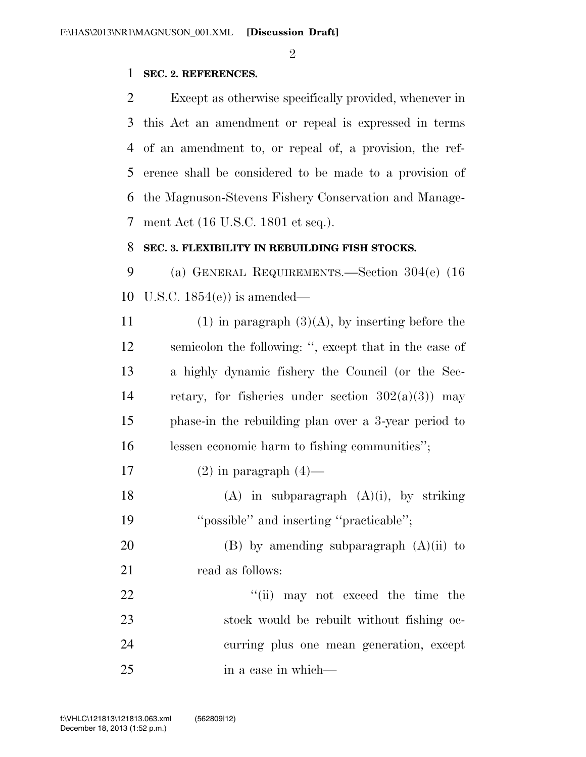$\mathfrak{D}$ 

### 1 **SEC. 2. REFERENCES.**

 Except as otherwise specifically provided, whenever in this Act an amendment or repeal is expressed in terms of an amendment to, or repeal of, a provision, the ref- erence shall be considered to be made to a provision of the Magnuson-Stevens Fishery Conservation and Manage-ment Act (16 U.S.C. 1801 et seq.).

#### 8 **SEC. 3. FLEXIBILITY IN REBUILDING FISH STOCKS.**

9 (a) GENERAL REQUIREMENTS.—Section 304(e) (16 10 U.S.C. 1854(e)) is amended—

- 11 (1) in paragraph  $(3)(A)$ , by inserting before the 12 semicolon the following: '', except that in the case of 13 a highly dynamic fishery the Council (or the Sec-14 retary, for fisheries under section  $302(a)(3)$  may 15 phase-in the rebuilding plan over a 3-year period to 16 lessen economic harm to fishing communities'';
- 17 (2) in paragraph  $(4)$ —
- 18 (A) in subparagraph  $(A)(i)$ , by striking 19 ''possible'' and inserting ''practicable'';

20 (B) by amending subparagraph  $(A)(ii)$  to 21 read as follows:

22 ''(ii) may not exceed the time the 23 stock would be rebuilt without fishing oc-24 curring plus one mean generation, except 25 in a case in which—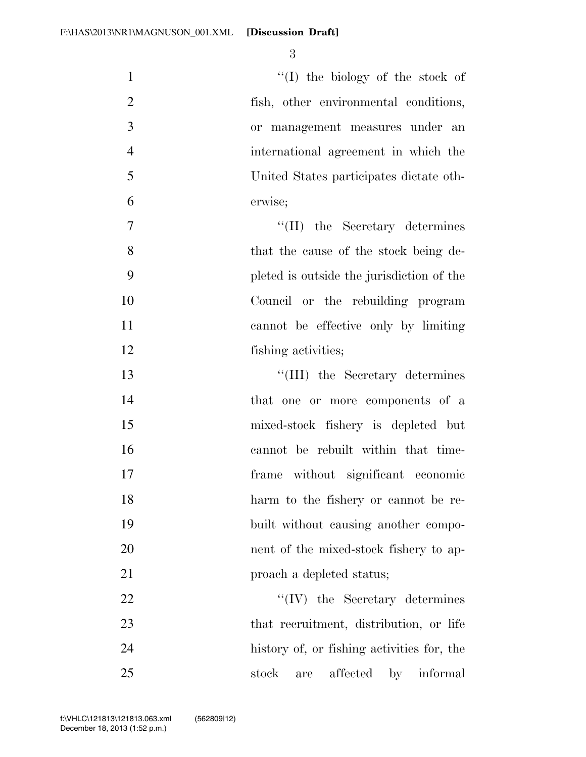| $\mathbf{1}$   | "(I) the biology of the stock of           |
|----------------|--------------------------------------------|
| $\overline{2}$ | fish, other environmental conditions,      |
| 3              | or management measures under an            |
| $\overline{4}$ | international agreement in which the       |
| 5              | United States participates dictate oth-    |
| 6              | erwise;                                    |
| $\overline{7}$ | $\lq\lq$ (II) the Secretary determines     |
| 8              | that the cause of the stock being de-      |
| 9              | pleted is outside the jurisdiction of the  |
| 10             | Council or the rebuilding program          |
| 11             | cannot be effective only by limiting       |
| 12             | fishing activities;                        |
| 13             | "(III) the Secretary determines            |
| 14             | that one or more components of a           |
| 15             | mixed-stock fishery is depleted but        |
| 16             | cannot be rebuilt within that time-        |
| 17             | frame without significant economic         |
| 18             | harm to the fishery or cannot be re-       |
| 19             | built without causing another compo-       |
| 20             | nent of the mixed-stock fishery to ap-     |
| 21             | proach a depleted status;                  |
| 22             | $\lq\lq (IV)$ the Secretary determines     |
| 23             | that recruitment, distribution, or life    |
| 24             | history of, or fishing activities for, the |
| 25             | affected<br>stock<br>informal<br>by<br>are |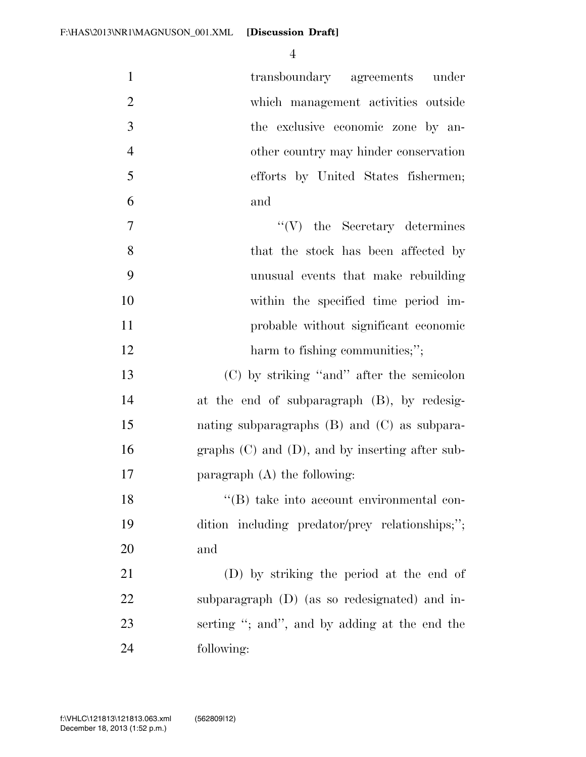| $\mathbf{1}$   | transboundary agreements under                       |
|----------------|------------------------------------------------------|
| $\overline{2}$ | which management activities outside                  |
| 3              | the exclusive economic zone by an-                   |
| $\overline{4}$ | other country may hinder conservation                |
| 5              | efforts by United States fishermen;                  |
| 6              | and                                                  |
| 7              | $\lq\lq(V)$ the Secretary determines                 |
| 8              | that the stock has been affected by                  |
| 9              | unusual events that make rebuilding                  |
| 10             | within the specified time period im-                 |
| 11             | probable without significant economic                |
| 12             | harm to fishing communities;";                       |
| 13             | (C) by striking "and" after the semicolon            |
| 14             | at the end of subparagraph (B), by redesig-          |
| 15             | nating subparagraphs $(B)$ and $(C)$ as subpara-     |
| 16             | graphs $(C)$ and $(D)$ , and by inserting after sub- |
| 17             | paragraph $(A)$ the following:                       |
| 18             | "(B) take into account environmental con-            |
| 19             | dition including predator/prey relationships;";      |
| 20             | and                                                  |
| 21             | (D) by striking the period at the end of             |
| 22             | subparagraph (D) (as so redesignated) and in-        |
| 23             | serting "; and", and by adding at the end the        |
| 24             | following:                                           |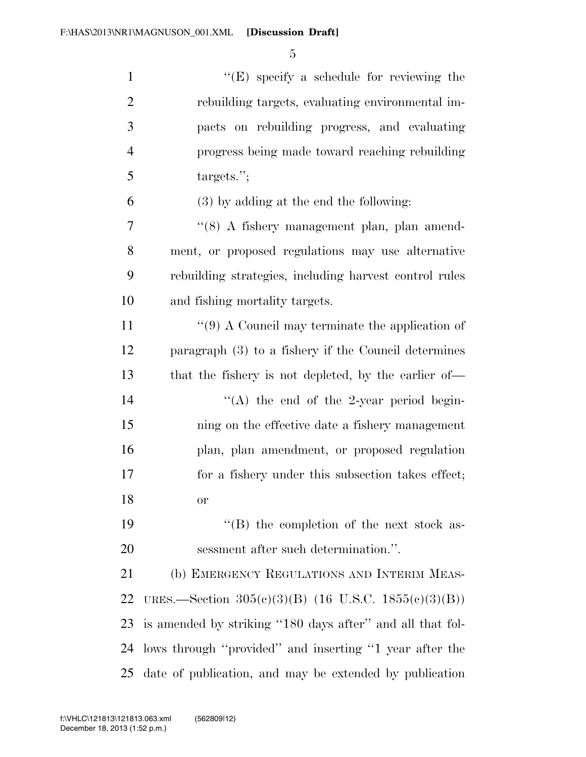| $\mathbf{1}$   | $\lq\lq(E)$ specify a schedule for reviewing the          |
|----------------|-----------------------------------------------------------|
| $\overline{2}$ | rebuilding targets, evaluating environmental im-          |
| 3              | pacts on rebuilding progress, and evaluating              |
| $\overline{4}$ | progress being made toward reaching rebuilding            |
| 5              | targets.";                                                |
| 6              | $(3)$ by adding at the end the following:                 |
| 7              | "(8) A fishery management plan, plan amend-               |
| 8              | ment, or proposed regulations may use alternative         |
| 9              | rebuilding strategies, including harvest control rules    |
| 10             | and fishing mortality targets.                            |
| 11             | "(9) A Council may terminate the application of           |
| 12             | paragraph (3) to a fishery if the Council determines      |
| 13             | that the fishery is not depleted, by the earlier of—      |
| 14             | "(A) the end of the 2-year period begin-                  |
| 15             | ning on the effective date a fishery management           |
| 16             | plan, plan amendment, or proposed regulation              |
| 17             | for a fishery under this subsection takes effect;         |
| 18             | <sub>or</sub>                                             |
| 19             | $\lq\lq$ the completion of the next stock as-             |
| 20             | sessment after such determination.".                      |
| 21             | (b) EMERGENCY REGULATIONS AND INTERIM MEAS-               |
| 22             | URES.—Section 305(c)(3)(B) (16 U.S.C. 1855(c)(3)(B))      |
| 23             | is amended by striking "180 days after" and all that fol- |
| 24             | lows through "provided" and inserting "1 year after the   |
| 25             | date of publication, and may be extended by publication   |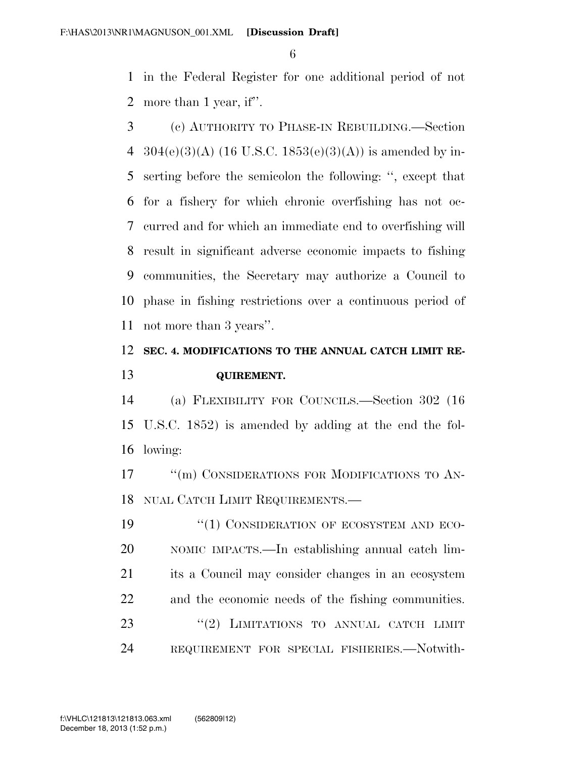in the Federal Register for one additional period of not more than 1 year, if''.

 (c) AUTHORITY TO PHASE-IN REBUILDING.—Section 4 304(e)(3)(A) (16 U.S.C. 1853(e)(3)(A)) is amended by in- serting before the semicolon the following: '', except that for a fishery for which chronic overfishing has not oc- curred and for which an immediate end to overfishing will result in significant adverse economic impacts to fishing communities, the Secretary may authorize a Council to phase in fishing restrictions over a continuous period of not more than 3 years''.

### **SEC. 4. MODIFICATIONS TO THE ANNUAL CATCH LIMIT RE-QUIREMENT.**

 (a) FLEXIBILITY FOR COUNCILS.—Section 302 (16 U.S.C. 1852) is amended by adding at the end the fol-lowing:

17 <sup>"</sup>(m) CONSIDERATIONS FOR MODIFICATIONS TO AN-NUAL CATCH LIMIT REQUIREMENTS.—

19 "(1) CONSIDERATION OF ECOSYSTEM AND ECO- NOMIC IMPACTS.—In establishing annual catch lim- its a Council may consider changes in an ecosystem and the economic needs of the fishing communities. 23 "(2) LIMITATIONS TO ANNUAL CATCH LIMIT REQUIREMENT FOR SPECIAL FISHERIES.—Notwith-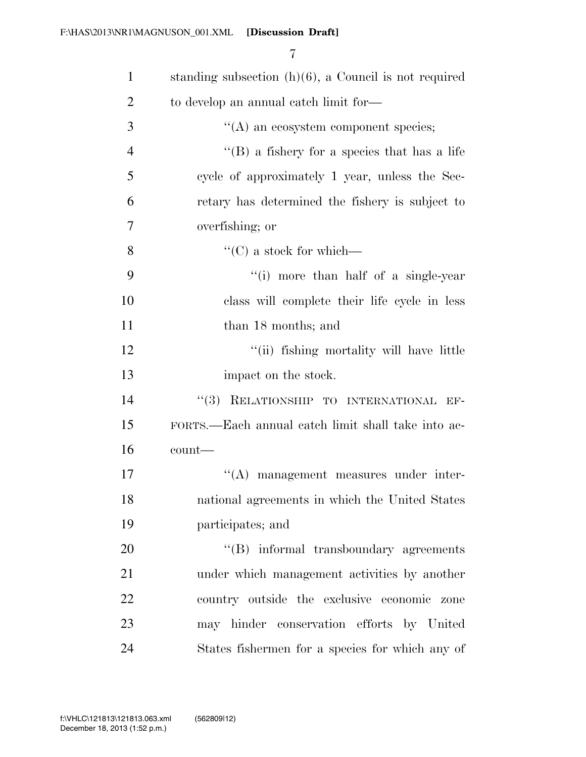| $\mathbf{1}$   | standing subsection $(h)(6)$ , a Council is not required |
|----------------|----------------------------------------------------------|
| $\overline{2}$ | to develop an annual catch limit for—                    |
| 3              | $\lq\lq$ an ecosystem component species;                 |
| $\overline{4}$ | "(B) a fishery for a species that has a life             |
| 5              | cycle of approximately 1 year, unless the Sec-           |
| 6              | retary has determined the fishery is subject to          |
| 7              | overfishing; or                                          |
| 8              | $\lq\lq$ (C) a stock for which—                          |
| 9              | "(i) more than half of a single-year                     |
| 10             | class will complete their life cycle in less             |
| 11             | than 18 months; and                                      |
| 12             | "(ii) fishing mortality will have little                 |
| 13             | impact on the stock.                                     |
| 14             | "(3) RELATIONSHIP TO INTERNATIONAL EF-                   |
| 15             | FORTS.—Each annual catch limit shall take into ac-       |
| 16             | count-                                                   |
| 17             | "(A) management measures under inter-                    |
| 18             | national agreements in which the United States           |
| 19             | participates; and                                        |
| 20             | "(B) informal transboundary agreements                   |
| 21             | under which management activities by another             |
| 22             | country outside the exclusive economic zone              |
| 23             | may hinder conservation efforts by United                |
| 24             | States fishermen for a species for which any of          |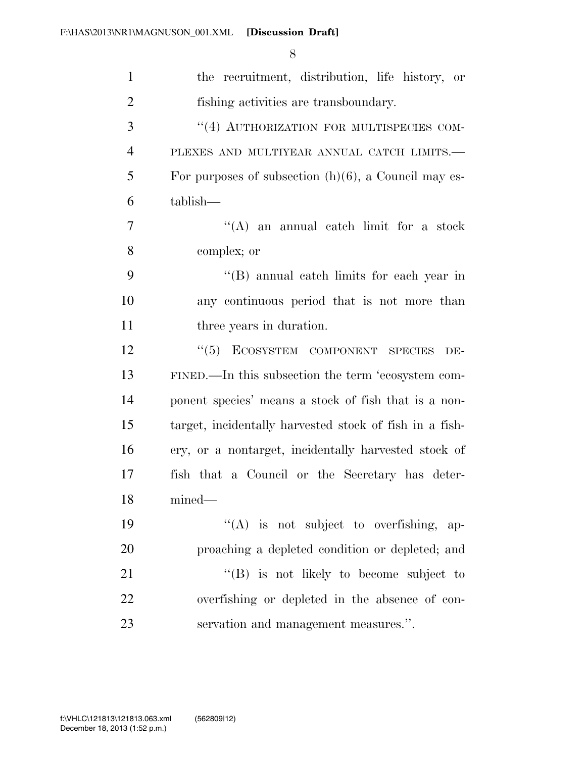| $\mathbf{1}$   | the recruitment, distribution, life history, or         |
|----------------|---------------------------------------------------------|
| $\overline{2}$ | fishing activities are transboundary.                   |
| 3              | "(4) AUTHORIZATION FOR MULTISPECIES COM-                |
| 4              | PLEXES AND MULTIYEAR ANNUAL CATCH LIMITS.-              |
| 5              | For purposes of subsection $(h)(6)$ , a Council may es- |
| 6              | tablish—                                                |
| 7              | $\lq\lq$ and annual catch limit for a stock             |
| 8              | complex; or                                             |
| 9              | "(B) annual catch limits for each year in               |
| 10             | any continuous period that is not more than             |
| 11             | three years in duration.                                |
| 12             | "(5) ECOSYSTEM COMPONENT SPECIES<br>DE-                 |
| 13             | FINED.—In this subsection the term 'ecosystem com-      |
| 14             | ponent species' means a stock of fish that is a non-    |
| 15             | target, incidentally harvested stock of fish in a fish- |
| 16             | ery, or a nontarget, incidentally harvested stock of    |
| 17             | fish that a Council or the Secretary has deter-         |
| 18             | $mined$ —                                               |
| 19             | $\lq\lq$ is not subject to overfishing, ap-             |
| 20             | proaching a depleted condition or depleted; and         |
| 21             | "(B) is not likely to become subject to                 |
| 22             | overfishing or depleted in the absence of con-          |
| 23             | servation and management measures.".                    |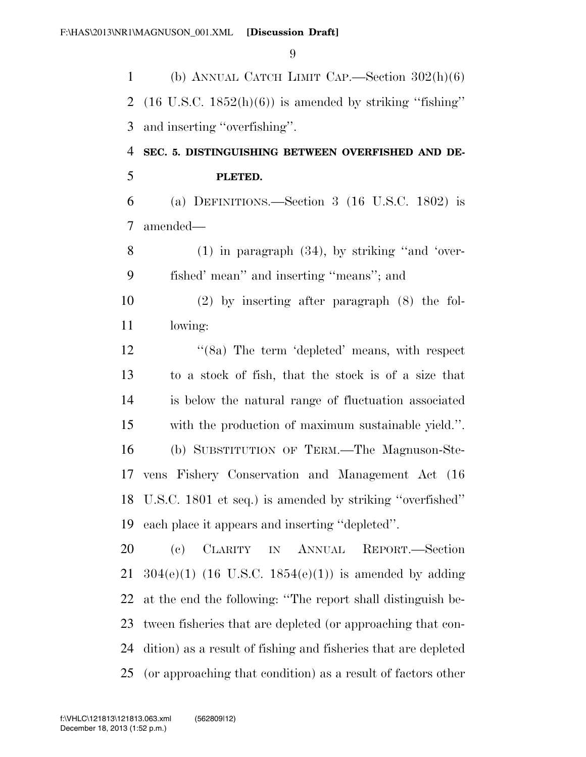(b) ANNUAL CATCH LIMIT CAP.—Section 302(h)(6) 2 (16 U.S.C.  $1852(h)(6)$ ) is amended by striking "fishing" and inserting ''overfishing''.

 **SEC. 5. DISTINGUISHING BETWEEN OVERFISHED AND DE-PLETED.** 

 (a) DEFINITIONS.—Section 3 (16 U.S.C. 1802) is amended—

 (1) in paragraph (34), by striking ''and 'over-fished' mean'' and inserting ''means''; and

 (2) by inserting after paragraph (8) the fol-lowing:

12 ''(8a) The term 'depleted' means, with respect to a stock of fish, that the stock is of a size that is below the natural range of fluctuation associated with the production of maximum sustainable yield.''. (b) SUBSTITUTION OF TERM.—The Magnuson-Ste- vens Fishery Conservation and Management Act (16 U.S.C. 1801 et seq.) is amended by striking ''overfished'' each place it appears and inserting ''depleted''.

 (c) CLARITY IN ANNUAL REPORT.—Section  $304(e)(1)$  (16 U.S.C. 1854(e)(1)) is amended by adding at the end the following: ''The report shall distinguish be- tween fisheries that are depleted (or approaching that con- dition) as a result of fishing and fisheries that are depleted (or approaching that condition) as a result of factors other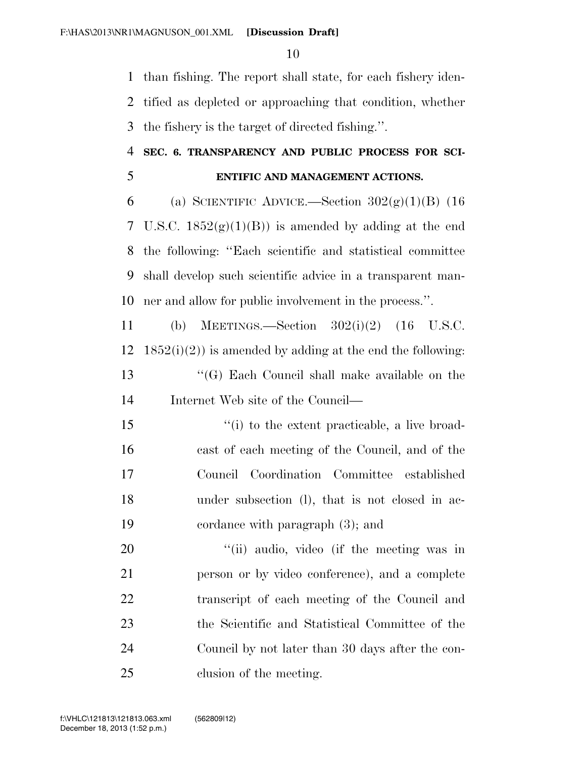than fishing. The report shall state, for each fishery iden- tified as depleted or approaching that condition, whether the fishery is the target of directed fishing.''.

### **SEC. 6. TRANSPARENCY AND PUBLIC PROCESS FOR SCI-ENTIFIC AND MANAGEMENT ACTIONS.**

6 (a) SCIENTIFIC ADVICE.—Section  $302(g)(1)(B)$  (16 7 U.S.C.  $1852(g)(1)(B)$  is amended by adding at the end the following: ''Each scientific and statistical committee shall develop such scientific advice in a transparent man-ner and allow for public involvement in the process.''.

 (b) MEETINGS.—Section 302(i)(2) (16 U.S.C.  $1852(i)(2)$  is amended by adding at the end the following: ''(G) Each Council shall make available on the Internet Web site of the Council—

 ''(i) to the extent practicable, a live broad- cast of each meeting of the Council, and of the Council Coordination Committee established under subsection (l), that is not closed in ac-cordance with paragraph (3); and

20 "(ii) audio, video (if the meeting was in person or by video conference), and a complete transcript of each meeting of the Council and the Scientific and Statistical Committee of the Council by not later than 30 days after the con-clusion of the meeting.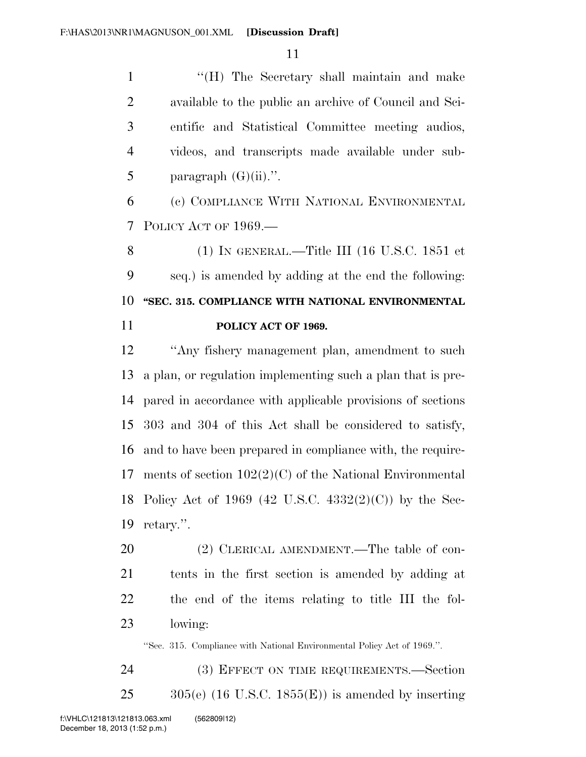1 "'(H) The Secretary shall maintain and make available to the public an archive of Council and Sci- entific and Statistical Committee meeting audios, videos, and transcripts made available under sub-5 paragraph  $(G)(ii)$ .".

 (c) COMPLIANCE WITH NATIONAL ENVIRONMENTAL POLICY ACT OF 1969.—

 (1) IN GENERAL.—Title III (16 U.S.C. 1851 et seq.) is amended by adding at the end the following: **''SEC. 315. COMPLIANCE WITH NATIONAL ENVIRONMENTAL POLICY ACT OF 1969.** 

 ''Any fishery management plan, amendment to such a plan, or regulation implementing such a plan that is pre- pared in accordance with applicable provisions of sections 303 and 304 of this Act shall be considered to satisfy, and to have been prepared in compliance with, the require- ments of section 102(2)(C) of the National Environmental Policy Act of 1969 (42 U.S.C. 4332(2)(C)) by the Sec-retary.''.

20 (2) CLERICAL AMENDMENT.—The table of con- tents in the first section is amended by adding at the end of the items relating to title III the fol-lowing:

''Sec. 315. Compliance with National Environmental Policy Act of 1969.''.

24 (3) EFFECT ON TIME REQUIREMENTS. Section 305(e) (16 U.S.C. 1855(E)) is amended by inserting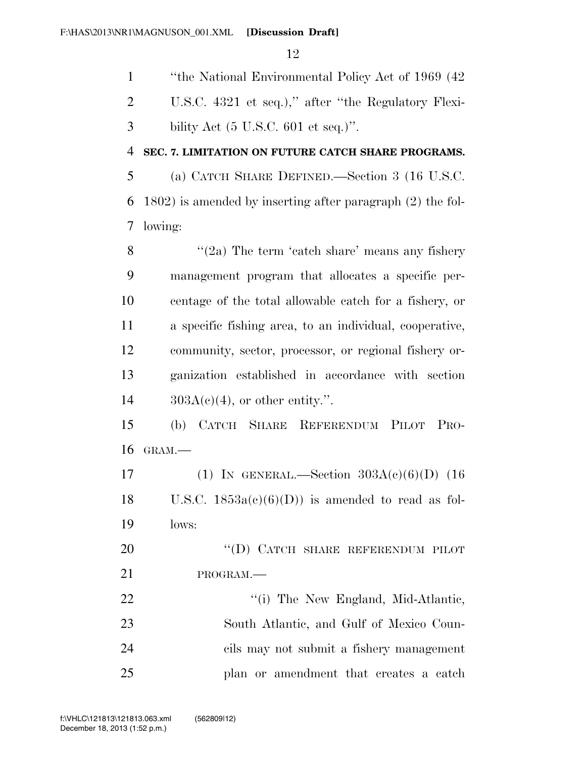''the National Environmental Policy Act of 1969 (42 U.S.C. 4321 et seq.),'' after ''the Regulatory Flexi-bility Act (5 U.S.C. 601 et seq.)".

#### **SEC. 7. LIMITATION ON FUTURE CATCH SHARE PROGRAMS.**

 (a) CATCH SHARE DEFINED.—Section 3 (16 U.S.C. 1802) is amended by inserting after paragraph (2) the fol-lowing:

 $\frac{1}{2a}$  The term 'catch share' means any fishery management program that allocates a specific per- centage of the total allowable catch for a fishery, or a specific fishing area, to an individual, cooperative, community, sector, processor, or regional fishery or- ganization established in accordance with section  $14 \qquad \qquad 303A(c)(4)$ , or other entity.".

 (b) CATCH SHARE REFERENDUM PILOT PRO-GRAM.—

17 (1) IN GENERAL.—Section  $303A(c)(6)(D)$  (16 18 U.S.C.  $1853a(c)(6)(D)$  is amended to read as fol-lows:

20 "(D) CATCH SHARE REFERENDUM PILOT PROGRAM.—

22 ''(i) The New England, Mid-Atlantic, South Atlantic, and Gulf of Mexico Coun- cils may not submit a fishery management plan or amendment that creates a catch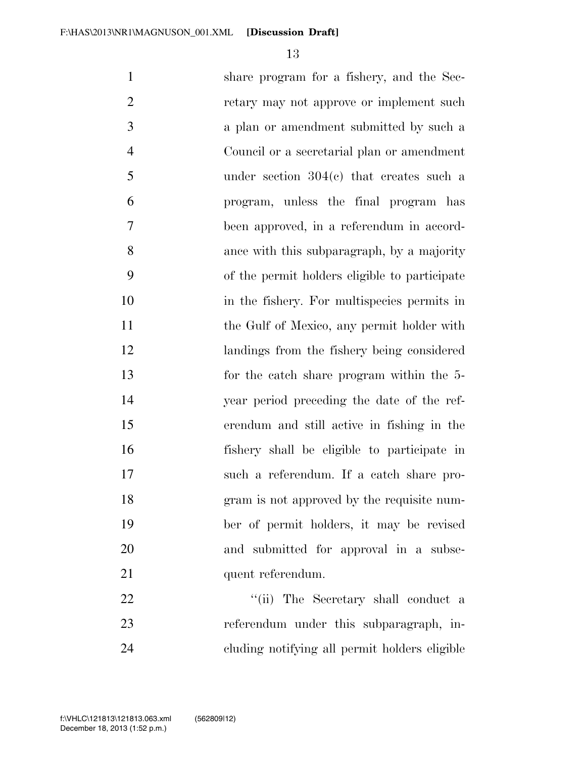share program for a fishery, and the Sec- retary may not approve or implement such a plan or amendment submitted by such a Council or a secretarial plan or amendment under section 304(c) that creates such a program, unless the final program has been approved, in a referendum in accord- ance with this subparagraph, by a majority of the permit holders eligible to participate in the fishery. For multispecies permits in 11 the Gulf of Mexico, any permit holder with landings from the fishery being considered for the catch share program within the 5- year period preceding the date of the ref- erendum and still active in fishing in the fishery shall be eligible to participate in such a referendum. If a catch share pro- gram is not approved by the requisite num- ber of permit holders, it may be revised and submitted for approval in a subse-21 quent referendum. 22 ''(ii) The Secretary shall conduct a referendum under this subparagraph, in-

December 18, 2013 (1:52 p.m.)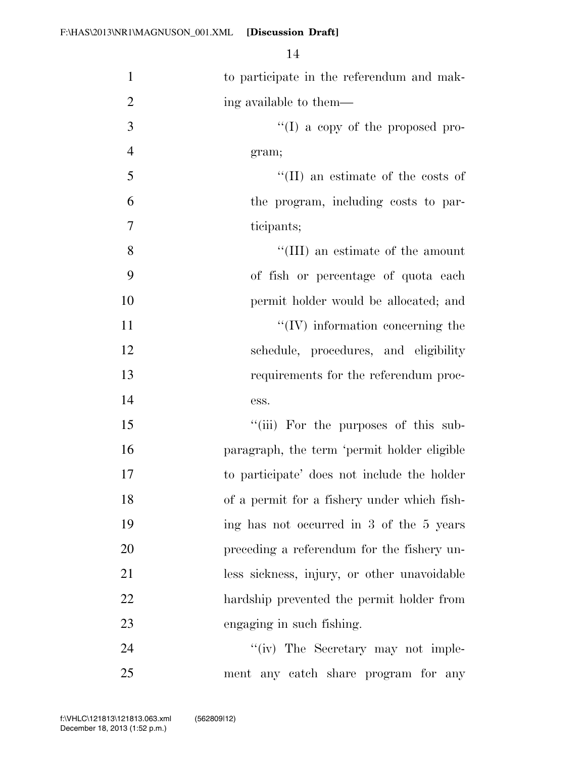| $\mathbf{1}$   | to participate in the referendum and mak-   |
|----------------|---------------------------------------------|
| $\overline{2}$ | ing available to them—                      |
| 3              | "(I) a copy of the proposed pro-            |
| $\overline{4}$ | gram;                                       |
| 5              | $\lq\lq$ (II) an estimate of the costs of   |
| 6              | the program, including costs to par-        |
| 7              | ticipants;                                  |
| 8              | "(III) an estimate of the amount            |
| 9              | of fish or percentage of quota each         |
| 10             | permit holder would be allocated; and       |
| 11             | $\lq\lq$ (IV) information concerning the    |
| 12             | schedule, procedures, and eligibility       |
| 13             | requirements for the referendum proc-       |
| 14             | ess.                                        |
| 15             | "(iii) For the purposes of this sub-        |
| 16             | paragraph, the term 'permit holder eligible |
| 17             | to participate' does not include the holder |
| 18             | of a permit for a fishery under which fish- |
| 19             | ing has not occurred in 3 of the 5 years    |
| 20             | preceding a referendum for the fishery un-  |
| 21             | less sickness, injury, or other unavoidable |
| 22             | hardship prevented the permit holder from   |
| 23             | engaging in such fishing.                   |
| 24             | "(iv) The Secretary may not imple-          |
| 25             | ment any catch share program for any        |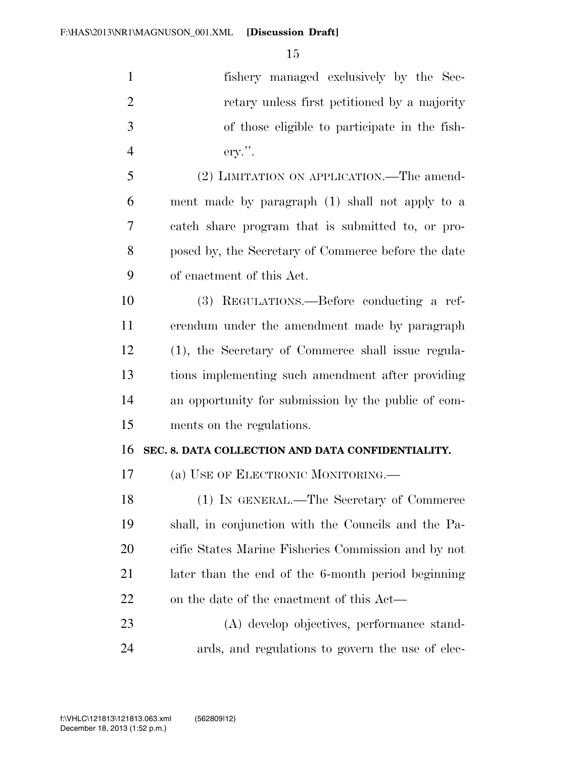fishery managed exclusively by the Sec- retary unless first petitioned by a majority of those eligible to participate in the fish- ery.''. (2) LIMITATION ON APPLICATION.—The amend- ment made by paragraph (1) shall not apply to a catch share program that is submitted to, or pro- posed by, the Secretary of Commerce before the date of enactment of this Act. (3) REGULATIONS.—Before conducting a ref- erendum under the amendment made by paragraph (1), the Secretary of Commerce shall issue regula- tions implementing such amendment after providing an opportunity for submission by the public of com-

### **SEC. 8. DATA COLLECTION AND DATA CONFIDENTIALITY.**

(a) USE OF ELECTRONIC MONITORING.—

ments on the regulations.

 (1) IN GENERAL.—The Secretary of Commerce shall, in conjunction with the Councils and the Pa- cific States Marine Fisheries Commission and by not later than the end of the 6-month period beginning 22 on the date of the enactment of this Act—

 (A) develop objectives, performance stand-ards, and regulations to govern the use of elec-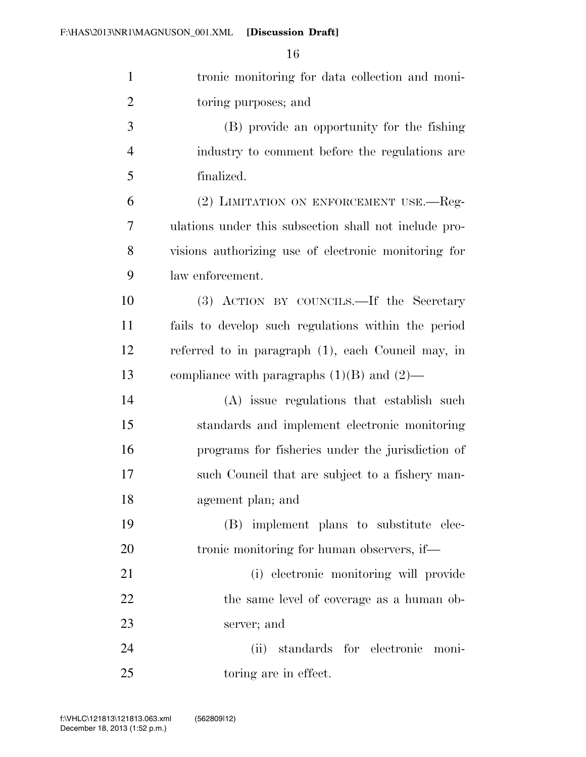| $\mathbf{1}$   | tronic monitoring for data collection and moni-       |
|----------------|-------------------------------------------------------|
| $\overline{2}$ | toring purposes; and                                  |
| 3              | (B) provide an opportunity for the fishing            |
| $\overline{4}$ | industry to comment before the regulations are        |
| 5              | finalized.                                            |
| 6              | (2) LIMITATION ON ENFORCEMENT USE.—Reg-               |
| $\tau$         | ulations under this subsection shall not include pro- |
| 8              | visions authorizing use of electronic monitoring for  |
| 9              | law enforcement.                                      |
| 10             | (3) ACTION BY COUNCILS.—If the Secretary              |
| 11             | fails to develop such regulations within the period   |
| 12             | referred to in paragraph (1), each Council may, in    |
| 13             | compliance with paragraphs $(1)(B)$ and $(2)$ —       |
| 14             | (A) issue regulations that establish such             |
| 15             | standards and implement electronic monitoring         |
| 16             | programs for fisheries under the jurisdiction of      |
| $17\,$         | such Council that are subject to a fishery man-       |
| 18             | agement plan; and                                     |
| 19             | (B) implement plans to substitute elec-               |
| 20             | tronic monitoring for human observers, if—            |
| 21             | (i) electronic monitoring will provide                |
| 22             | the same level of coverage as a human ob-             |
| 23             | server; and                                           |
| 24             | standards for electronic moni-<br>(ii)                |
| 25             | toring are in effect.                                 |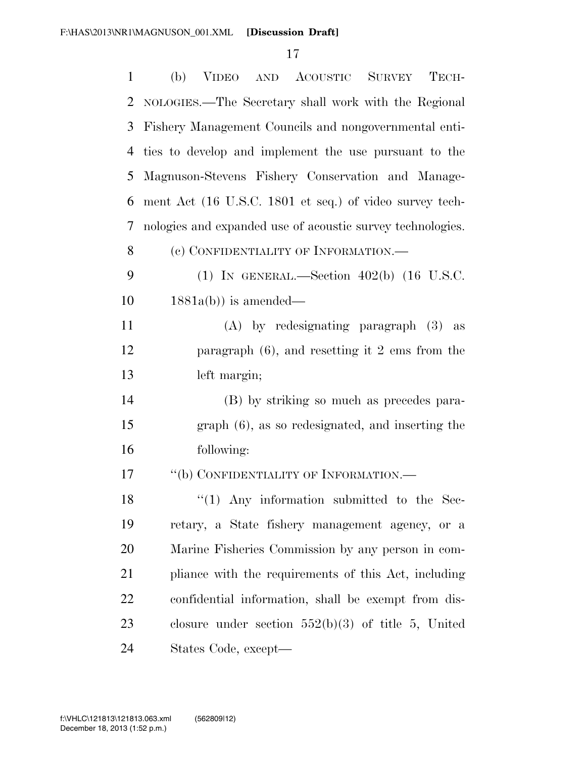| $\mathbf{1}$ | (b) VIDEO AND ACOUSTIC SURVEY TECH-                        |
|--------------|------------------------------------------------------------|
| 2            | NOLOGIES.—The Secretary shall work with the Regional       |
| 3            | Fishery Management Councils and nongovernmental enti-      |
| 4            | ties to develop and implement the use pursuant to the      |
| 5            | Magnuson-Stevens Fishery Conservation and Manage-          |
| 6            | ment Act (16 U.S.C. 1801 et seq.) of video survey tech-    |
| 7            | nologies and expanded use of acoustic survey technologies. |
| 8            | (c) CONFIDENTIALITY OF INFORMATION.—                       |
| 9            | (1) IN GENERAL.—Section $402(b)$ (16 U.S.C.                |
| 10           | $1881a(b)$ ) is amended—                                   |
| 11           | $(A)$ by redesignating paragraph $(3)$ as                  |
| 12           | paragraph $(6)$ , and resetting it 2 ems from the          |
| 13           | left margin;                                               |
| 14           | (B) by striking so much as precedes para-                  |
| 15           | $graph(6)$ , as so redesignated, and inserting the         |
| 16           | following:                                                 |
| 17           | "(b) CONFIDENTIALITY OF INFORMATION.—                      |
| 18           | $\lq(1)$ Any information submitted to the Sec-             |
| 19           | retary, a State fishery management agency, or a            |
| 20           | Marine Fisheries Commission by any person in com-          |
| 21           | pliance with the requirements of this Act, including       |
| 22           | confidential information, shall be exempt from dis-        |
| 23           | closure under section $552(b)(3)$ of title 5, United       |
| 24           | States Code, except—                                       |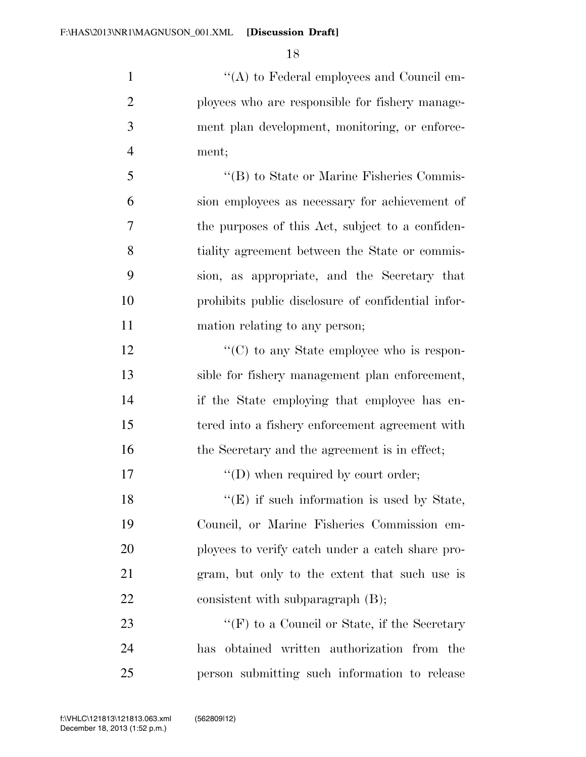$\langle (A) \rangle$  to Federal employees and Council em- ployees who are responsible for fishery manage- ment plan development, monitoring, or enforce-ment;

 ''(B) to State or Marine Fisheries Commis- sion employees as necessary for achievement of the purposes of this Act, subject to a confiden- tiality agreement between the State or commis- sion, as appropriate, and the Secretary that prohibits public disclosure of confidential infor-mation relating to any person;

12  $\langle \text{C}(\text{C}) \rangle$  to any State employee who is respon- sible for fishery management plan enforcement, 14 if the State employing that employee has en- tered into a fishery enforcement agreement with 16 the Secretary and the agreement is in effect;

17  $''(D)$  when required by court order;

18 ''(E) if such information is used by State, Council, or Marine Fisheries Commission em- ployees to verify catch under a catch share pro- gram, but only to the extent that such use is 22 consistent with subparagraph (B);

23 ''(F) to a Council or State, if the Secretary has obtained written authorization from the person submitting such information to release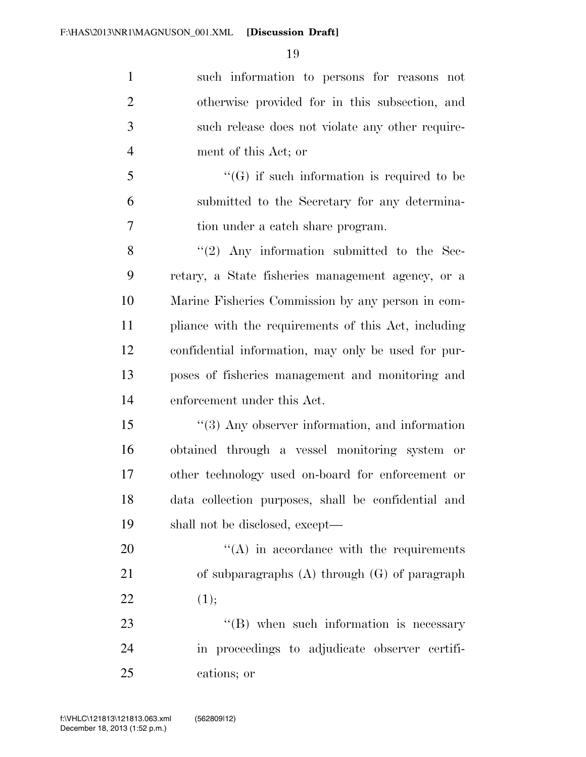| $\mathbf{1}$   | such information to persons for reasons not           |
|----------------|-------------------------------------------------------|
| $\overline{2}$ | otherwise provided for in this subsection, and        |
| 3              | such release does not violate any other require-      |
| $\overline{4}$ | ment of this Act; or                                  |
| 5              | $\lq\lq(G)$ if such information is required to be     |
| 6              | submitted to the Secretary for any determina-         |
| 7              | tion under a catch share program.                     |
| 8              | $(2)$ Any information submitted to the Sec-           |
| 9              | retary, a State fisheries management agency, or a     |
| 10             | Marine Fisheries Commission by any person in com-     |
| 11             | pliance with the requirements of this Act, including  |
| 12             | confidential information, may only be used for pur-   |
| 13             | poses of fisheries management and monitoring and      |
| 14             | enforcement under this Act.                           |
| 15             | $\cdot$ (3) Any observer information, and information |
| 16             | obtained through a vessel monitoring system or        |
| 17             | other technology used on-board for enforcement or     |
| 18             | data collection purposes, shall be confidential and   |
| 19             | shall not be disclosed, except—                       |
| 20             | $\lq\lq$ in accordance with the requirements          |
| 21             | of subparagraphs $(A)$ through $(G)$ of paragraph     |
| 22             | (1);                                                  |
| 23             | $\lq\lq$ (B) when such information is necessary       |
| 24             | in proceedings to adjudicate observer certifi-        |

cations; or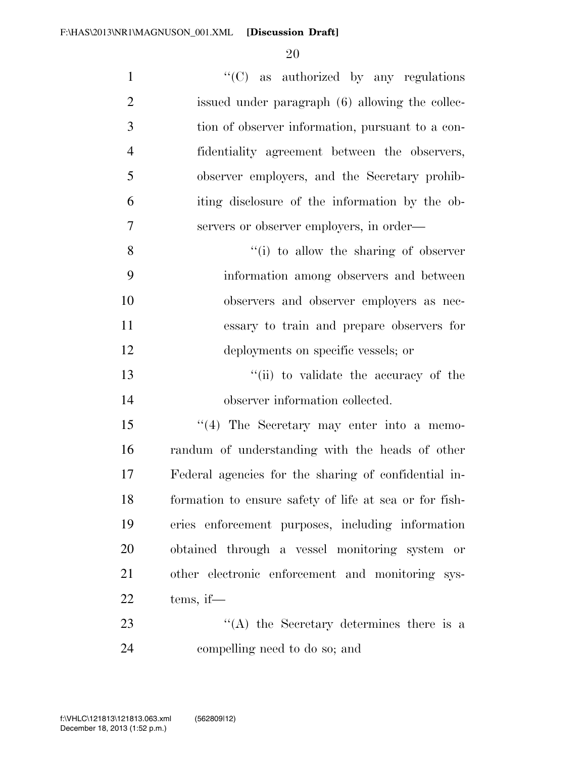| $\mathbf{1}$   | " $(C)$ as authorized by any regulations               |
|----------------|--------------------------------------------------------|
| $\overline{2}$ | issued under paragraph (6) allowing the collec-        |
| 3              | tion of observer information, pursuant to a con-       |
| $\overline{4}$ | fidentiality agreement between the observers,          |
| 5              | observer employers, and the Secretary prohib-          |
| 6              | iting disclosure of the information by the ob-         |
| 7              | servers or observer employers, in order—               |
| 8              | "(i) to allow the sharing of observer                  |
| 9              | information among observers and between                |
| 10             | observers and observer employers as nec-               |
| 11             | essary to train and prepare observers for              |
| 12             | deployments on specific vessels; or                    |
| 13             | "(ii) to validate the accuracy of the                  |
| 14             | observer information collected.                        |
| 15             | "(4) The Secretary may enter into a memo-              |
| 16             | randum of understanding with the heads of other        |
| 17             | Federal agencies for the sharing of confidential in-   |
| 18             | formation to ensure safety of life at sea or for fish- |
| 19             | eries enforcement purposes, including information      |
| 20             | obtained through a vessel monitoring system or         |
| 21             | other electronic enforcement and monitoring sys-       |
| 22             | tems, if—                                              |
| 23             | $\lq\lq$ the Secretary determines there is a           |
| 24             | compelling need to do so; and                          |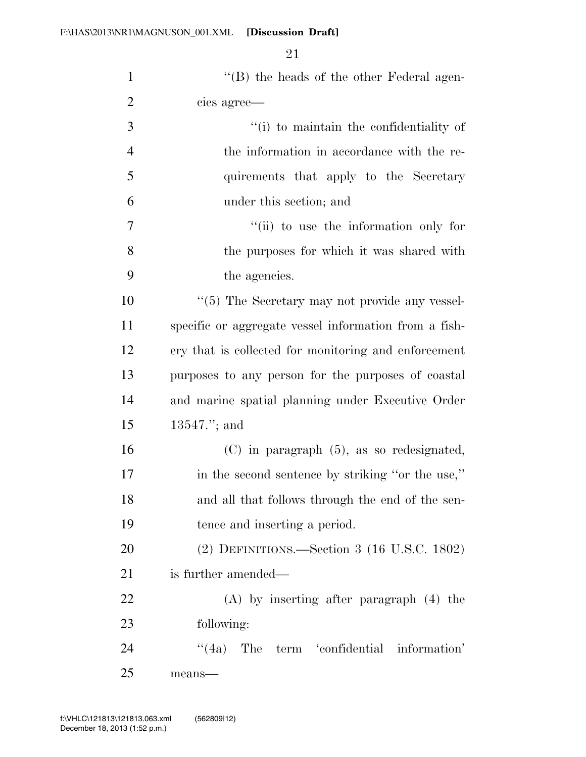| $\mathbf{1}$   | $\lq\lq (B)$ the heads of the other Federal agen-     |
|----------------|-------------------------------------------------------|
| $\overline{2}$ | cies agree—                                           |
| 3              | "(i) to maintain the confidentiality of               |
| $\overline{4}$ | the information in accordance with the re-            |
| 5              | quirements that apply to the Secretary                |
| 6              | under this section; and                               |
| 7              | "(ii) to use the information only for                 |
| 8              | the purposes for which it was shared with             |
| 9              | the agencies.                                         |
| 10             | "(5) The Secretary may not provide any vessel-        |
| 11             | specific or aggregate vessel information from a fish- |
| 12             | ery that is collected for monitoring and enforcement  |
| 13             | purposes to any person for the purposes of coastal    |
| 14             | and marine spatial planning under Executive Order     |
| 15             | $13547$ ."; and                                       |
| 16             | $(C)$ in paragraph $(5)$ , as so redesignated,        |
| 17             | in the second sentence by striking "or the use,"      |
| 18             | and all that follows through the end of the sen-      |
| 19             | tence and inserting a period.                         |
| 20             | (2) DEFINITIONS.—Section 3 (16 U.S.C. 1802)           |
| 21             | is further amended—                                   |
| 22             | $(A)$ by inserting after paragraph $(4)$ the          |
| 23             | following:                                            |
| 24             | "(4a) The term 'confidential information'             |
| 25             | means-                                                |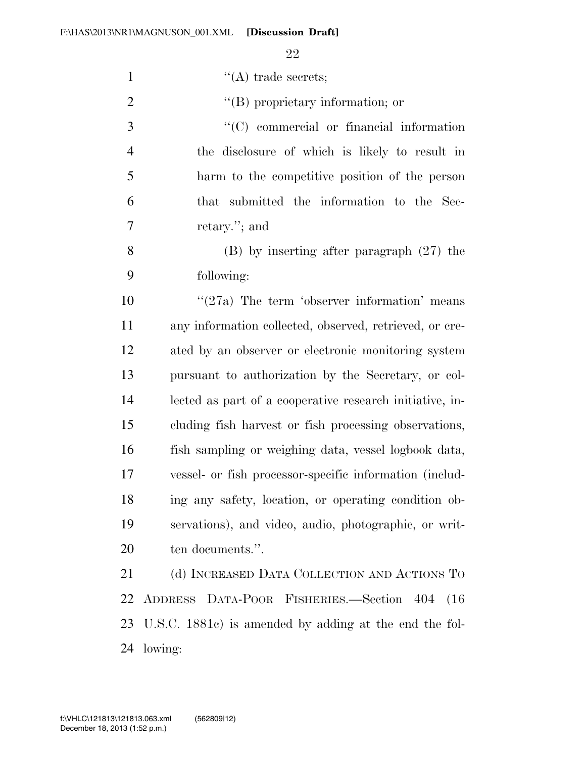| $\mathbf{1}$   | $\lq\lq$ (A) trade secrets;                              |
|----------------|----------------------------------------------------------|
| $\overline{2}$ | $\lq\lq$ proprietary information; or                     |
| 3              | $\lq\lq$ commercial or financial information             |
| $\overline{4}$ | the disclosure of which is likely to result in           |
| 5              | harm to the competitive position of the person           |
| 6              | that submitted the information to the Sec-               |
| 7              | retary."; and                                            |
| 8              | $(B)$ by inserting after paragraph $(27)$ the            |
| 9              | following:                                               |
| 10             | $\cdot$ (27a) The term 'observer information' means      |
| 11             | any information collected, observed, retrieved, or cre-  |
| 12             | ated by an observer or electronic monitoring system      |
| 13             | pursuant to authorization by the Secretary, or col-      |
| 14             | lected as part of a cooperative research initiative, in- |
| 15             | cluding fish harvest or fish processing observations,    |
| 16             | fish sampling or weighing data, vessel logbook data,     |
| 17             | vessel- or fish processor-specific information (includ-  |
| 18             | ing any safety, location, or operating condition ob-     |
| 19             | servations), and video, audio, photographic, or writ-    |
| 20             | ten documents.".                                         |
| 21             | (d) INCREASED DATA COLLECTION AND ACTIONS TO             |
| 22             | ADDRESS DATA-POOR FISHERIES.-Section 404<br>(16)         |
| 23             | U.S.C. 1881c) is amended by adding at the end the fol-   |
| 24             | lowing:                                                  |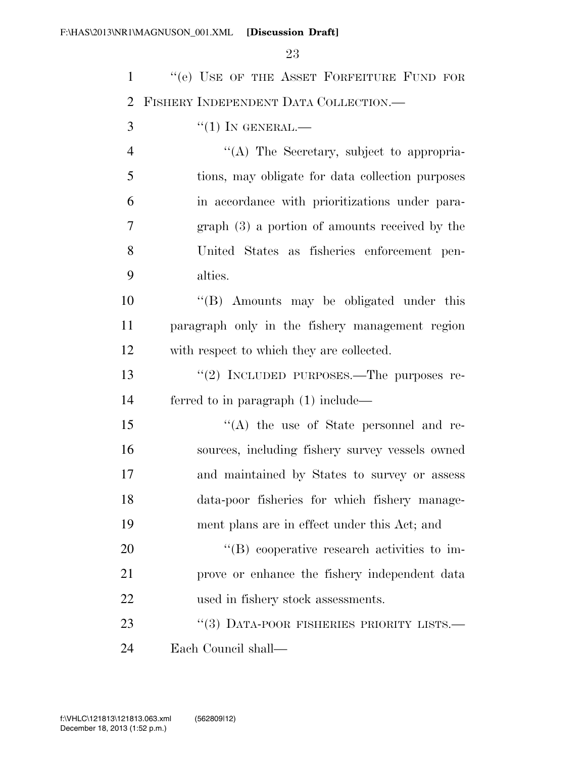| $\mathbf{1}$   | "(e) USE OF THE ASSET FORFEITURE FUND FOR        |
|----------------|--------------------------------------------------|
| $\overline{2}$ | FISHERY INDEPENDENT DATA COLLECTION.             |
| 3              | $``(1)$ IN GENERAL.—                             |
| $\overline{4}$ | "(A) The Secretary, subject to appropria-        |
| 5              | tions, may obligate for data collection purposes |
| 6              | in accordance with prioritizations under para-   |
| 7              | $graph(3)$ a portion of amounts received by the  |
| 8              | United States as fisheries enforcement pen-      |
| 9              | alties.                                          |
| 10             | "(B) Amounts may be obligated under this         |
| 11             | paragraph only in the fishery management region  |
| 12             | with respect to which they are collected.        |
| 13             | "(2) INCLUDED PURPOSES.—The purposes re-         |
| 14             | ferred to in paragraph $(1)$ include—            |
| 15             | "(A) the use of State personnel and re-          |
| 16             | sources, including fishery survey vessels owned  |
| 17             | and maintained by States to survey or assess     |
| 18             | data-poor fisheries for which fishery manage-    |
| 19             | ment plans are in effect under this Act; and     |
| 20             | "(B) cooperative research activities to im-      |
| 21             | prove or enhance the fishery independent data    |
| 22             | used in fishery stock assessments.               |
| 23             | "(3) DATA-POOR FISHERIES PRIORITY LISTS.-        |
| 24             | Each Council shall—                              |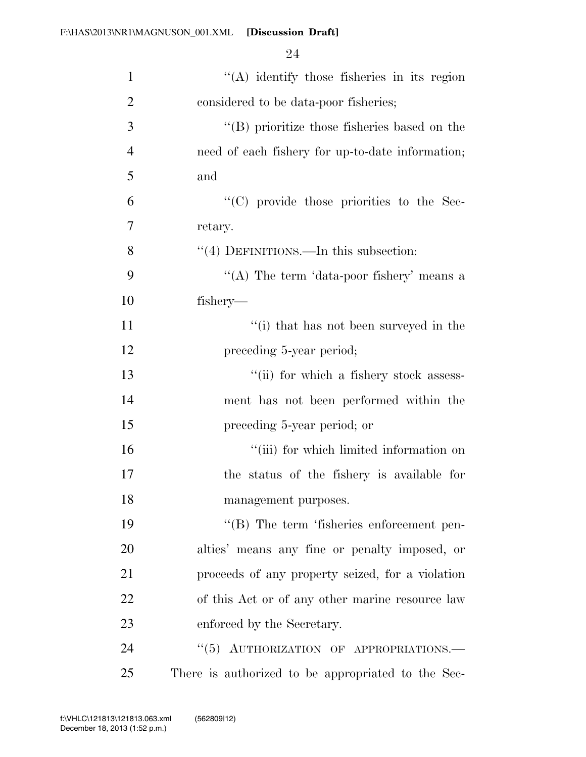| $\mathbf{1}$   | "(A) identify those fisheries in its region          |
|----------------|------------------------------------------------------|
| $\overline{2}$ | considered to be data-poor fisheries;                |
| 3              | $\lq\lq$ (B) prioritize those fisheries based on the |
| $\overline{4}$ | need of each fishery for up-to-date information;     |
| 5              | and                                                  |
| 6              | "(C) provide those priorities to the Sec-            |
| 7              | retary.                                              |
| 8              | "(4) DEFINITIONS.—In this subsection:                |
| 9              | "(A) The term 'data-poor fishery' means a            |
| 10             | fishery—                                             |
| 11             | "(i) that has not been surveyed in the               |
| 12             | preceding 5-year period;                             |
| 13             | "(ii) for which a fishery stock assess-              |
| 14             | ment has not been performed within the               |
| 15             | preceding 5-year period; or                          |
| 16             | "(iii) for which limited information on              |
| 17             | the status of the fishery is available for           |
| 18             | management purposes.                                 |
| 19             | $\lq\lq (B)$ The term 'fisheries enforcement pen-    |
| 20             | alties' means any fine or penalty imposed, or        |
| 21             | proceeds of any property seized, for a violation     |
| 22             | of this Act or of any other marine resource law      |
| 23             | enforced by the Secretary.                           |
| 24             | "(5) AUTHORIZATION OF APPROPRIATIONS.-               |
| 25             | There is authorized to be appropriated to the Sec-   |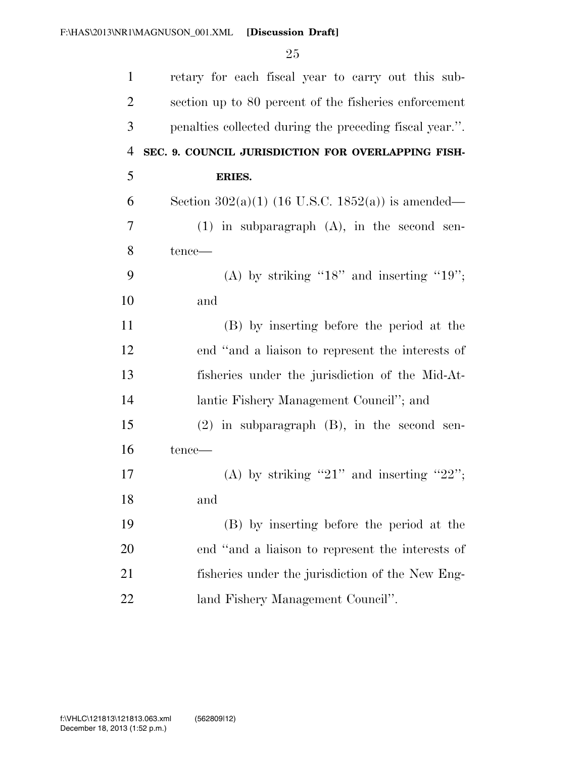| $\mathbf{1}$   | retary for each fiscal year to carry out this sub-      |
|----------------|---------------------------------------------------------|
| $\overline{2}$ | section up to 80 percent of the fisheries enforcement   |
| 3              | penalties collected during the preceding fiscal year.". |
| $\overline{4}$ | SEC. 9. COUNCIL JURISDICTION FOR OVERLAPPING FISH-      |
| 5              | <b>ERIES.</b>                                           |
| 6              | Section $302(a)(1)$ (16 U.S.C. 1852(a)) is amended—     |
| 7              | $(1)$ in subparagraph $(A)$ , in the second sen-        |
| 8              | $tence$ —                                               |
| 9              | (A) by striking " $18$ " and inserting " $19$ ";        |
| 10             | and                                                     |
| 11             | (B) by inserting before the period at the               |
| 12             | end "and a liaison to represent the interests of        |
| 13             | fisheries under the jurisdiction of the Mid-At-         |
| 14             | lantic Fishery Management Council"; and                 |
| 15             | $(2)$ in subparagraph $(B)$ , in the second sen-        |
| 16             | tence—                                                  |
| 17             | (A) by striking "21" and inserting "22";                |
| 18             | and                                                     |
| 19             | (B) by inserting before the period at the               |
| 20             | end "and a liaison to represent the interests of        |
| 21             | fisheries under the jurisdiction of the New Eng-        |
| 22             | land Fishery Management Council".                       |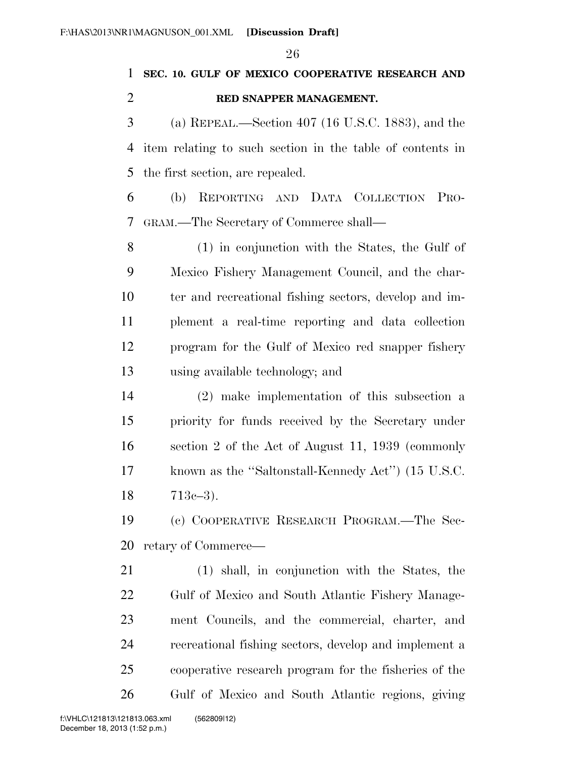**SEC. 10. GULF OF MEXICO COOPERATIVE RESEARCH AND RED SNAPPER MANAGEMENT.** 

 (a) REPEAL.—Section 407 (16 U.S.C. 1883), and the item relating to such section in the table of contents in the first section, are repealed.

 (b) REPORTING AND DATA COLLECTION PRO-GRAM.—The Secretary of Commerce shall—

 (1) in conjunction with the States, the Gulf of Mexico Fishery Management Council, and the char- ter and recreational fishing sectors, develop and im- plement a real-time reporting and data collection program for the Gulf of Mexico red snapper fishery using available technology; and

 (2) make implementation of this subsection a priority for funds received by the Secretary under section 2 of the Act of August 11, 1939 (commonly known as the ''Saltonstall-Kennedy Act'') (15 U.S.C. 713c–3).

 (c) COOPERATIVE RESEARCH PROGRAM.—The Sec-retary of Commerce—

 (1) shall, in conjunction with the States, the Gulf of Mexico and South Atlantic Fishery Manage- ment Councils, and the commercial, charter, and recreational fishing sectors, develop and implement a cooperative research program for the fisheries of the Gulf of Mexico and South Atlantic regions, giving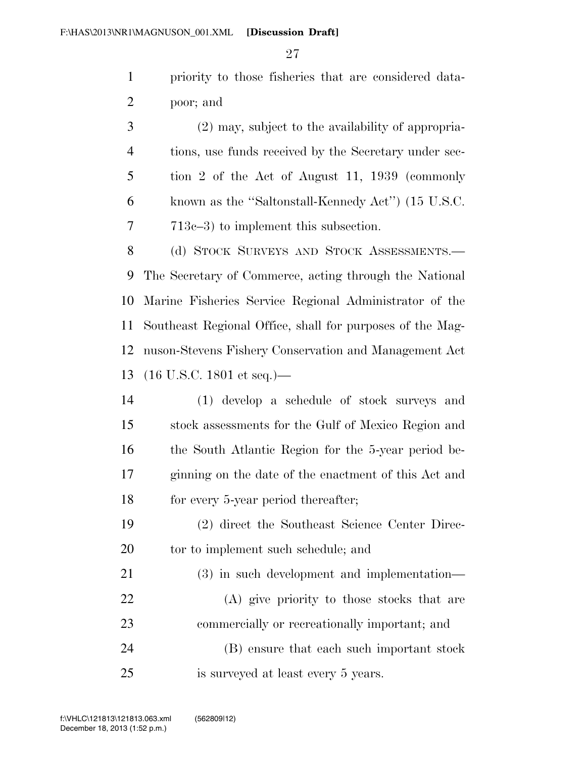priority to those fisheries that are considered data-poor; and

 (2) may, subject to the availability of appropria- tions, use funds received by the Secretary under sec- tion 2 of the Act of August 11, 1939 (commonly known as the ''Saltonstall-Kennedy Act'') (15 U.S.C. 713c–3) to implement this subsection.

8 (d) STOCK SURVEYS AND STOCK ASSESSMENTS.— The Secretary of Commerce, acting through the National Marine Fisheries Service Regional Administrator of the Southeast Regional Office, shall for purposes of the Mag- nuson-Stevens Fishery Conservation and Management Act (16 U.S.C. 1801 et seq.)—

 (1) develop a schedule of stock surveys and stock assessments for the Gulf of Mexico Region and the South Atlantic Region for the 5-year period be- ginning on the date of the enactment of this Act and 18 for every 5-year period thereafter;

 (2) direct the Southeast Science Center Direc-20 tor to implement such schedule; and

 (3) in such development and implementation— (A) give priority to those stocks that are commercially or recreationally important; and (B) ensure that each such important stock

is surveyed at least every 5 years.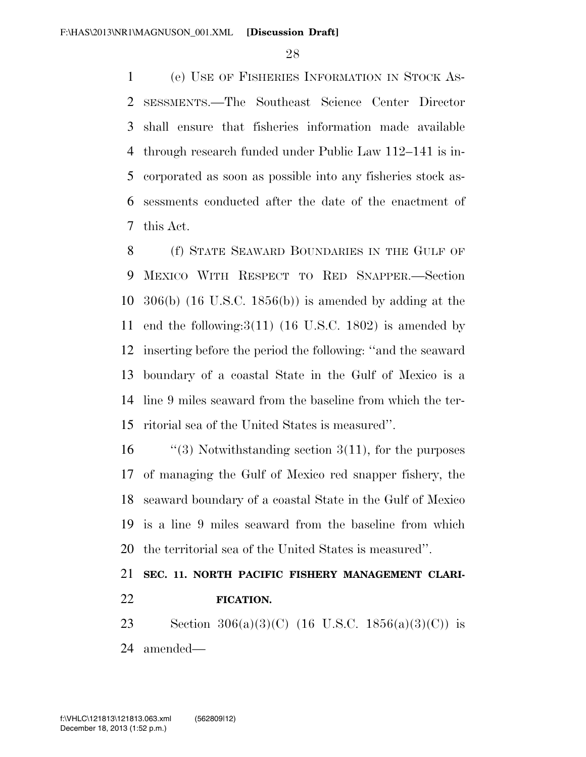(e) USE OF FISHERIES INFORMATION IN STOCK AS- SESSMENTS.—The Southeast Science Center Director shall ensure that fisheries information made available through research funded under Public Law 112–141 is in- corporated as soon as possible into any fisheries stock as- sessments conducted after the date of the enactment of this Act.

 (f) STATE SEAWARD BOUNDARIES IN THE GULF OF MEXICO WITH RESPECT TO RED SNAPPER.—Section 306(b) (16 U.S.C. 1856(b)) is amended by adding at the 11 end the following:  $3(11)$  (16 U.S.C. 1802) is amended by inserting before the period the following: ''and the seaward boundary of a coastal State in the Gulf of Mexico is a line 9 miles seaward from the baseline from which the ter-ritorial sea of the United States is measured''.

 ''(3) Notwithstanding section 3(11), for the purposes of managing the Gulf of Mexico red snapper fishery, the seaward boundary of a coastal State in the Gulf of Mexico is a line 9 miles seaward from the baseline from which the territorial sea of the United States is measured''.

## **SEC. 11. NORTH PACIFIC FISHERY MANAGEMENT CLARI-FICATION.**

23 Section 306(a)(3)(C) (16 U.S.C. 1856(a)(3)(C)) is amended—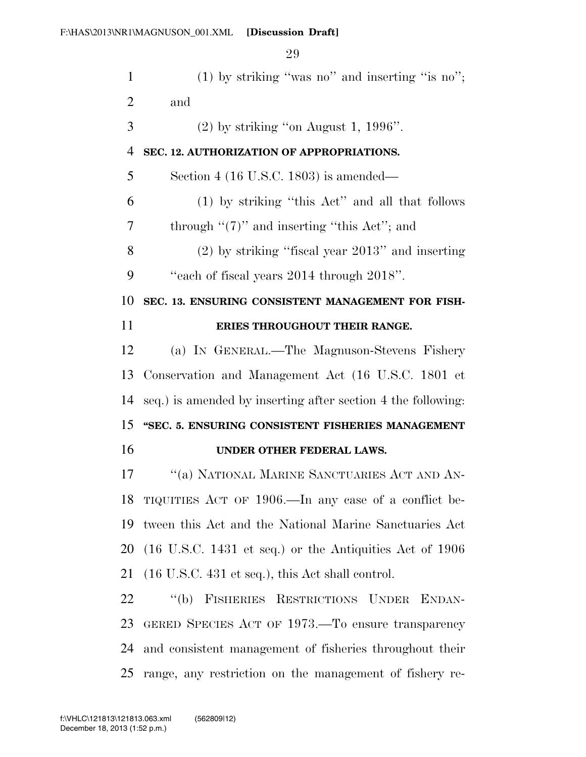| $\mathbf{1}$   | $(1)$ by striking "was no" and inserting "is no";                          |
|----------------|----------------------------------------------------------------------------|
| $\overline{2}$ | and                                                                        |
| 3              | $(2)$ by striking "on August 1, 1996".                                     |
| $\overline{4}$ | SEC. 12. AUTHORIZATION OF APPROPRIATIONS.                                  |
| 5              | Section 4 (16 U.S.C. 1803) is amended—                                     |
| 6              | (1) by striking "this Act" and all that follows                            |
| 7              | through " $(7)$ " and inserting "this Act"; and                            |
| 8              | $(2)$ by striking "fiscal year $2013$ " and inserting                      |
| 9              | "each of fiscal years 2014 through 2018".                                  |
| 10             | SEC. 13. ENSURING CONSISTENT MANAGEMENT FOR FISH-                          |
| 11             | ERIES THROUGHOUT THEIR RANGE.                                              |
| 12             | (a) IN GENERAL.—The Magnuson-Stevens Fishery                               |
| 13             | Conservation and Management Act (16 U.S.C. 1801 et                         |
| 14             | seq.) is amended by inserting after section 4 the following:               |
| 15             | "SEC. 5. ENSURING CONSISTENT FISHERIES MANAGEMENT                          |
| 16             | UNDER OTHER FEDERAL LAWS.                                                  |
| 17             | "(a) NATIONAL MARINE SANCTUARIES ACT AND AN-                               |
| 18             | TIQUITIES ACT OF 1906.—In any case of a conflict be-                       |
| 19             | tween this Act and the National Marine Sanctuaries Act                     |
| 20             | $(16 \text{ U.S.C. } 1431 \text{ et seq.})$ or the Antiquities Act of 1906 |
| 21             | $(16 \text{ U.S.C. } 431 \text{ et seq.}),$ this Act shall control.        |
| 22             | "(b) FISHERIES RESTRICTIONS UNDER ENDAN-                                   |
| 23             | GERED SPECIES ACT OF 1973.—To ensure transparency                          |
| 24             | and consistent management of fisheries throughout their                    |
| 25             | range, any restriction on the management of fishery re-                    |